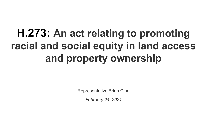# **H.273: An act relating to promoting racial and social equity in land access and property ownership**

Representative Brian Cina

*February 24, 2021*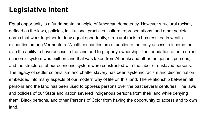## **Legislative Intent**

Equal opportunity is a fundamental principle of American democracy. However structural racism, defined as the laws, policies, institutional practices, cultural representations, and other societal norms that work together to deny equal opportunity, structural racism has resulted in wealth disparities among Vermonters. Wealth disparities are a function of not only access to income, but also the ability to have access to the land and to property ownership. The foundation of our current economic system was built on land that was taken from Abenaki and other Indigenous persons, and the structures of our economic system were constructed with the labor of enslaved persons. The legacy of settler colonialism and chattel slavery has been systemic racism and discrimination embedded into many aspects of our modern way of life on this land. The relationship between all persons and the land has been used to oppress persons over the past several centuries. The laws and policies of our State and nation severed Indigenous persons from their land while denying them, Black persons, and other Persons of Color from having the opportunity to access and to own land.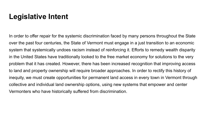### **Legislative Intent**

In order to offer repair for the systemic discrimination faced by many persons throughout the State over the past four centuries, the State of Vermont must engage in a just transition to an economic system that systemically undoes racism instead of reinforcing it. Efforts to remedy wealth disparity in the United States have traditionally looked to the free market economy for solutions to the very problem that it has created. However, there has been increased recognition that improving access to land and property ownership will require broader approaches. In order to rectify this history of inequity, we must create opportunities for permanent land access in every town in Vermont through collective and individual land ownership options, using new systems that empower and center Vermonters who have historically suffered from discrimination.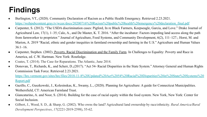# **Findings**

- Burlington, VT., (2020). Community Declaration of Racism as a Public Health Emergency. Retrieved 2.23.2021. [https://webpubcontent.gray.tv/wcax/docs/20200716%20Racism%20public%20health%20emergency%20declaration\\_final.pdf](https://webpubcontent.gray.tv/wcax/docs/20200716%20Racism%20public%20health%20emergency%20declaration_final.pdf)
- Carpenter, S. (2012). "The USDA discrimination cases: Pigford, In re Black Farmers, Keepseagle, Garcia, and Love." Drake Journal of Agricultural Law, 17(1), 1–35; Calo, A., and De Master, K. T. 2016. "After the incubator: Factors impeding land access along the path from farmworker to proprietor." Journal of Agriculture, Food Systems, and Community Development, 6(2), 111–127.; Horst, M. and Marion, A. 2019 "Racial, ethnic and gender inequities in farmland ownership and farming in the U.S." Agriculture and Human Values  $36:1-16.$
- Carpenter, Stephen. (2002). [Poverty, Racial Discrimination and the Family Farm](https://canvas.instructure.com/courses/991744/files/40486307/download?wrap=1). In Challenges to Equality: Poverty and Race in America, ed. C.W. Hartman. New York: Routledge.
- Coates, T. (2014). The Case for Reparations. The Atlantic, June 2014.
- Donovan, T., Richards, K., and Scherr, D., (2017). "Act 54- Racial Disparities in the State System." Attorney General and Human Rights Commission Task Force. Retrieved 2.23.2021.

[https://hrc.vermont.gov/sites/hrc/files/2018-11-8%20Updated%20Act%2054%20Racial%20Disparities%20in%20State%20Systems%20](https://hrc.vermont.gov/sites/hrc/files/2018-11-8%20Updated%20Act%2054%20Racial%20Disparities%20in%20State%20Systems%20Report.pdf) [Report.pdf](https://hrc.vermont.gov/sites/hrc/files/2018-11-8%20Updated%20Act%2054%20Racial%20Disparities%20in%20State%20Systems%20Report.pdf)

- Gazillo, C., Guszkowski, J., Kolesinskas, K., Swamy, L., (2020). Planning for Agriculture: A guide for Connecticut Municipalities. Wethersfield, CT: American Farmland Trust.
- Giancatarino, A. and Noor, S. (2014). Building for the case of racial equity within the food system. New York, New York: Center for Social Inclusion.
- Gilbert, J., Wood, S. D., & Sharp, G. (2002). Who owns the land? Agricultural land ownership by race/ethnicity. *Rural America/Rural Development Perspectives*, *17*(2221-2019-2598), 55-62.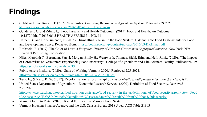# **Findings**

- Goldstein, B. and Romero, F. (2016)."Food Justice: Combating Racism in the Agricultural System" Retrieved 2.24.2021. [https://www.aacu.org/liberaleducation/2016/fall/goldstein\\_felix-romero](https://www.aacu.org/liberaleducation/2016/fall/goldstein_felix-romero)
- Gundersen, C. and Ziliak, J., "Food Insecurity and Health Outcomes" (2015). Food and Health: An Outcome. 10.1377/hlthaff.2015.0645 HEALTH AFFAIRS 34, NO. 11
- Harper, B., and Holt-Giménez, E. (2016). Dismantling Racism in the Food System. Oakland, CA: Food First/Institute for Food and Development Policy. Retrieved from:<https://foodfirst.org/wp-content/uploads/2016/03/DR1Final.pdf>
- Rothstein. R. (2017). The Color of Law*: A Forgotten History of How our Government Segregated America.* New York, NY: Liveright Publishing Corporation.
- Niles, Meredith T.; Bertmann, Farryl; Morgan, Emily H.; Wentworth, Thomas; Biehl, Erin; and Neff, Roni,. (2020). "The Impact of Coronavirus on Vermonters Experiencing Food Insecurity". College of Agriculture and Life Sciences Faculty Publications. 19. <https://scholarworks.uvm.edu/calsfac/19>
- Public Assets Institute. (2020). "State of Working Vermont 2020." Retrieved 2.23.2021. <https://publicassets.org/wp-content/uploads/2020/12/SWVT2020.pdf>
- Tuck, E., & Yang, K. W. (2012). Decolonization is not a metaphor. *Decolonization: Indigeneity, education & society*, *1*(1).
- United States Department of Agriculture Economic Research Service. (2020). Definition of Food Security. Retrieved 2.23.2021.

[https://www.ers.usda.gov/topics/food-nutrition-assistance/food-security-in-the-us/definitions-of-food-security.aspx#:~:text=Food](https://www.ers.usda.gov/topics/food-nutrition-assistance/food-security-in-the-us/definitions-of-food-security.aspx#:~:text=Food%20insecurity%E2%80%94the%20condition%20assessed,may%20result%20from%20food%20insecurity) [%20insecurity%E2%80%94the%20condition%20assessed,may%20result%20from%20food%20insecurity.](https://www.ers.usda.gov/topics/food-nutrition-assistance/food-security-in-the-us/definitions-of-food-security.aspx#:~:text=Food%20insecurity%E2%80%94the%20condition%20assessed,may%20result%20from%20food%20insecurity)

- Vermont Farm to Plate,. (2020). Racial Equity in the Vermont Food System
- Vermont Housing Finance Agency; and the U.S. Census Bureau 2018 5 year ACS Table S1903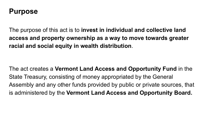#### **Purpose**

The purpose of this act is to **invest in individual and collective land access and property ownership as a way to move towards greater racial and social equity in wealth distribution**.

The act creates a **Vermont Land Access and Opportunity Fund** in the State Treasury, consisting of money appropriated by the General Assembly and any other funds provided by public or private sources, that is administered by the **Vermont Land Access and Opportunity Board.**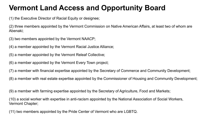# **Vermont Land Access and Opportunity Board**

(1) the Executive Director of Racial Equity or designee;

(2) three members appointed by the Vermont Commission on Native American Affairs, at least two of whom are Abenaki;

(3) two members appointed by the Vermont NAACP;

(4) a member appointed by the Vermont Racial Justice Alliance;

(5) a member appointed by the Vermont Releaf Collective;

(6) a member appointed by the Vermont Every Town project;

(7) a member with financial expertise appointed by the Secretary of Commerce and Community Development;

(8) a member with real estate expertise appointed by the Commissioner of Housing and Community Development;

(9) a member with farming expertise appointed by the Secretary of Agriculture, Food and Markets;

(10) a social worker with expertise in anti-racism appointed by the National Association of Social Workers, Vermont Chapter;

(11) two members appointed by the Pride Center of Vermont who are LGBTQ.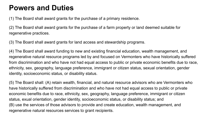#### **Powers and Duties**

(1) The Board shall award grants for the purchase of a primary residence.

(2) The Board shall award grants for the purchase of a farm property or land deemed suitable for regenerative practices.

(3) The Board shall award grants for land access and stewardship programs.

(4) The Board shall award funding to new and existing financial education, wealth management, and regenerative natural resource programs led by and focused on Vermonters who have historically suffered from discrimination and who have not had equal access to public or private economic benefits due to race, ethnicity, sex, geography, language preference, immigrant or citizen status, sexual orientation, gender identity, socioeconomic status, or disability status.

(5) The Board shall: (A) retain wealth, financial, and natural resource advisors who are Vermonters who have historically suffered from discrimination and who have not had equal access to public or private economic benefits due to race, ethnicity, sex, geography, language preference, immigrant or citizen status, exual orientation, gender identity, socioeconomic status, or disability status; and (B) use the services of those advisors to provide and create education, wealth management, and regenerative natural resources services to grant recipients.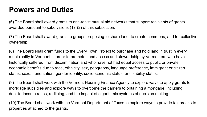#### **Powers and Duties**

(6) The Board shall award grants to anti-racist mutual aid networks that support recipients of grants awarded pursuant to subdivisions (1)–(2) of this subsection.

(7) The Board shall award grants to groups proposing to share land, to create commons, and for collective ownership.

(8) The Board shall grant funds to the Every Town Project to purchase and hold land in trust in every municipality in Vermont in order to promote land access and stewardship by Vermonters who have historically suffered from discrimination and who have not had equal access to public or private economic benefits due to race, ethnicity, sex, geography, language preference, immigrant or citizen status, sexual orientation, gender identity, socioeconomic status, or disability status.

(9) The Board shall work with the Vermont Housing Finance Agency to explore ways to apply grants to mortgage subsidies and explore ways to overcome the barriers to obtaining a mortgage, including debt-to-income ratios, redlining, and the impact of algorithmic systems of decision making.

(10) The Board shall work with the Vermont Department of Taxes to explore ways to provide tax breaks to properties attached to the grants.